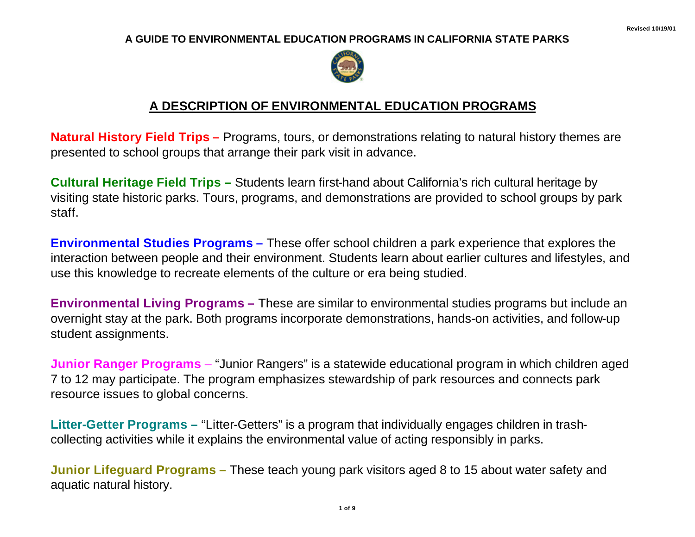## **A GUIDE TO ENVIRONMENTAL EDUCATION PROGRAMS IN CALIFORNIA STATE PARKS**



## **A DESCRIPTION OF ENVIRONMENTAL EDUCATION PROGRAMS**

**Natural History Field Trips –** Programs, tours, or demonstrations relating to natural history themes are presented to school groups that arrange their park visit in advance.

**Cultural Heritage Field Trips –** Students learn first-hand about California's rich cultural heritage by visiting state historic parks. Tours, programs, and demonstrations are provided to school groups by park staff.

**Environmental Studies Programs –** These offer school children a park experience that explores the interaction between people and their environment. Students learn about earlier cultures and lifestyles, and use this knowledge to recreate elements of the culture or era being studied.

**Environmental Living Programs –** These are similar to environmental studies programs but include an overnight stay at the park. Both programs incorporate demonstrations, hands-on activities, and follow-up student assignments.

**Junior Ranger Programs** – "Junior Rangers" is a statewide educational program in which children aged 7 to 12 may participate. The program emphasizes stewardship of park resources and connects park resource issues to global concerns.

**Litter-Getter Programs –** "Litter-Getters" is a program that individually engages children in trashcollecting activities while it explains the environmental value of acting responsibly in parks.

**Junior Lifeguard Programs –** These teach young park visitors aged 8 to 15 about water safety and aquatic natural history.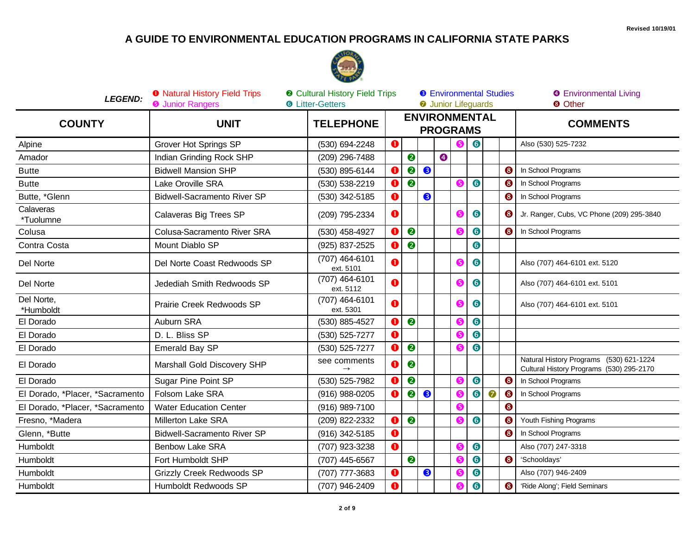## A GUIDE TO ENVIRONMENTAL EDUCATION PROGRAMS IN CALIFORNIA STATE PARKS



| <b>LEGEND:</b>                  | <b>O</b> Natural History Field Trips<br><b>@</b> Cultural History Field Trips<br><b>O</b> Junior Rangers<br><b>6</b> Litter-Getters |                             |           |                  |   | <b>8</b> Environmental Studies<br><b>O</b> Junior Lifeguards |    |           |           |   | <b>O</b> Environmental Living<br><sup>O</sup> Other                                 |  |
|---------------------------------|-------------------------------------------------------------------------------------------------------------------------------------|-----------------------------|-----------|------------------|---|--------------------------------------------------------------|----|-----------|-----------|---|-------------------------------------------------------------------------------------|--|
| <b>COUNTY</b>                   | <b>UNIT</b>                                                                                                                         | <b>TELEPHONE</b>            |           |                  |   | <b>ENVIRONMENTAL</b><br><b>PROGRAMS</b>                      |    |           |           |   | <b>COMMENTS</b>                                                                     |  |
| Alpine                          | Grover Hot Springs SP                                                                                                               | (530) 694-2248              | O         |                  |   |                                                              |    | $\bullet$ |           |   | Also (530) 525-7232                                                                 |  |
| Amador                          | Indian Grinding Rock SHP                                                                                                            | (209) 296-7488              |           | $\bullet$        |   | $\bullet$                                                    |    |           |           |   |                                                                                     |  |
| <b>Butte</b>                    | <b>Bidwell Mansion SHP</b>                                                                                                          | (530) 895-6144              |           | $\bullet$        | 8 |                                                              |    |           |           | ❸ | In School Programs                                                                  |  |
| <b>Butte</b>                    | Lake Oroville SRA                                                                                                                   | (530) 538-2219              | a         | $\bullet$        |   |                                                              | 6  | $\bullet$ |           | ❸ | In School Programs                                                                  |  |
| Butte, *Glenn                   | <b>Bidwell-Sacramento River SP</b>                                                                                                  | (530) 342-5185              |           |                  | ❸ |                                                              |    |           |           | ❸ | In School Programs                                                                  |  |
| Calaveras<br>*Tuolumne          | Calaveras Big Trees SP                                                                                                              | (209) 795-2334              | O         |                  |   |                                                              |    | 6         |           | 6 | Jr. Ranger, Cubs, VC Phone (209) 295-3840                                           |  |
| Colusa                          | Colusa-Sacramento River SRA                                                                                                         | (530) 458-4927              | (1        | 0                |   |                                                              | (5 | $\bullet$ |           | ❸ | In School Programs                                                                  |  |
| Contra Costa                    | Mount Diablo SP                                                                                                                     | (925) 837-2525              |           | 2                |   |                                                              |    | 6         |           |   |                                                                                     |  |
| Del Norte                       | Del Norte Coast Redwoods SP                                                                                                         | (707) 464-6101<br>ext. 5101 | a         |                  |   |                                                              |    | 6         |           |   | Also (707) 464-6101 ext. 5120                                                       |  |
| Del Norte                       | Jedediah Smith Redwoods SP                                                                                                          | (707) 464-6101<br>ext. 5112 | Ω         |                  |   |                                                              | G  | $\bullet$ |           |   | Also (707) 464-6101 ext. 5101                                                       |  |
| Del Norte,<br>*Humboldt         | Prairie Creek Redwoods SP                                                                                                           | (707) 464-6101<br>ext. 5301 | O         |                  |   |                                                              | 6  | 6         |           |   | Also (707) 464-6101 ext. 5101                                                       |  |
| El Dorado                       | Auburn SRA                                                                                                                          | (530) 885-4527              | O         | $\bullet$        |   |                                                              |    | 6         |           |   |                                                                                     |  |
| El Dorado                       | D. L. Bliss SP                                                                                                                      | (530) 525-7277              | O         |                  |   |                                                              |    | $\bullet$ |           |   |                                                                                     |  |
| El Dorado                       | Emerald Bay SP                                                                                                                      | (530) 525-7277              |           | $\bullet$        |   |                                                              |    | 6         |           |   |                                                                                     |  |
| El Dorado                       | Marshall Gold Discovery SHP                                                                                                         | see comments                |           | $\boldsymbol{Q}$ |   |                                                              |    |           |           |   | Natural History Programs (530) 621-1224<br>Cultural History Programs (530) 295-2170 |  |
| El Dorado                       | Sugar Pine Point SP                                                                                                                 | (530) 525-7982              |           | $\bullet$        |   |                                                              |    | $\bullet$ |           | ❸ | In School Programs                                                                  |  |
| El Dorado, *Placer, *Sacramento | Folsom Lake SRA                                                                                                                     | (916) 988-0205              | O         | $\bullet$        | 8 |                                                              | G  | $\bullet$ | $\bullet$ | ❸ | In School Programs                                                                  |  |
| El Dorado, *Placer, *Sacramento | <b>Water Education Center</b>                                                                                                       | (916) 989-7100              |           |                  |   |                                                              |    |           |           | ❸ |                                                                                     |  |
| Fresno, *Madera                 | <b>Millerton Lake SRA</b>                                                                                                           | (209) 822-2332              | 0         | $\bullet$        |   |                                                              |    | $\bullet$ |           | 6 | Youth Fishing Programs                                                              |  |
| Glenn, *Butte                   | <b>Bidwell-Sacramento River SP</b>                                                                                                  | (916) 342-5185              | O         |                  |   |                                                              |    |           |           | ❸ | In School Programs                                                                  |  |
| Humboldt                        | <b>Benbow Lake SRA</b>                                                                                                              | (707) 923-3238              | Ω         |                  |   |                                                              |    | 6         |           |   | Also (707) 247-3318                                                                 |  |
| Humboldt                        | Fort Humboldt SHP                                                                                                                   | (707) 445-6567              |           | $\boldsymbol{Q}$ |   |                                                              |    | $\bullet$ |           | ❸ | 'Schooldays'                                                                        |  |
| Humboldt                        | <b>Grizzly Creek Redwoods SP</b>                                                                                                    | (707) 777-3683              |           |                  | ❸ |                                                              |    | 6         |           |   | Also (707) 946-2409                                                                 |  |
| Humboldt                        | Humboldt Redwoods SP                                                                                                                | (707) 946-2409              | $\bullet$ |                  |   |                                                              | G  | $\bullet$ |           | ❸ | 'Ride Along'; Field Seminars                                                        |  |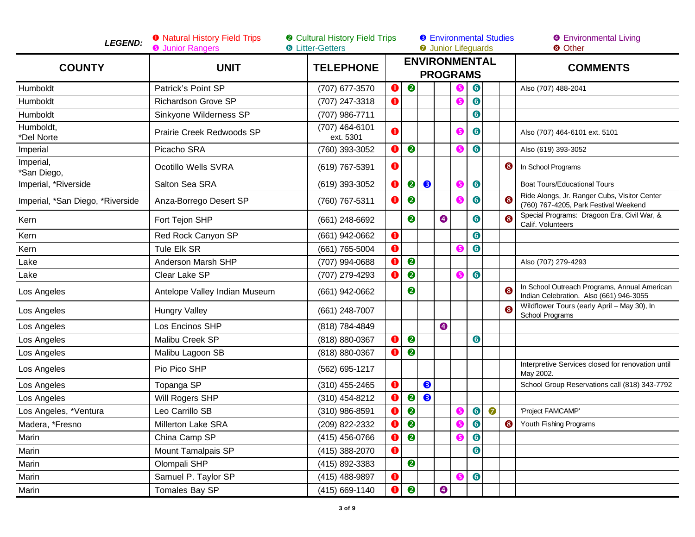| <b>LEGEND:</b>                   | <b>O</b> Natural History Field Trips<br><b>O</b> Junior Rangers | <b>@</b> Cultural History Field Trips<br><b>6</b> Litter-Getters |             |           |           |             | <b>8</b> Environmental Studies<br><b>O</b> Junior Lifeguards |           |           |           | <b>O</b> Environmental Living<br><b>8 Other</b>                                         |  |
|----------------------------------|-----------------------------------------------------------------|------------------------------------------------------------------|-------------|-----------|-----------|-------------|--------------------------------------------------------------|-----------|-----------|-----------|-----------------------------------------------------------------------------------------|--|
| <b>COUNTY</b>                    | <b>UNIT</b>                                                     | <b>TELEPHONE</b>                                                 |             |           |           |             | <b>ENVIRONMENTAL</b><br><b>PROGRAMS</b>                      |           |           |           | <b>COMMENTS</b>                                                                         |  |
| Humboldt                         | Patrick's Point SP                                              | (707) 677-3570                                                   | O           | ❷         |           |             |                                                              | $\bullet$ |           |           | Also (707) 488-2041                                                                     |  |
| Humboldt                         | <b>Richardson Grove SP</b>                                      | (707) 247-3318                                                   | $\bf o$     |           |           |             |                                                              | 6         |           |           |                                                                                         |  |
| Humboldt                         | Sinkyone Wilderness SP                                          | (707) 986-7711                                                   |             |           |           |             |                                                              | 6         |           |           |                                                                                         |  |
| Humboldt,<br>*Del Norte          | Prairie Creek Redwoods SP                                       | (707) 464-6101<br>ext. 5301                                      | 0           |           |           |             |                                                              | $\bullet$ |           |           | Also (707) 464-6101 ext. 5101                                                           |  |
| Imperial                         | Picacho SRA                                                     | (760) 393-3052                                                   | O           | ❷         |           |             |                                                              | $\bullet$ |           |           | Also (619) 393-3052                                                                     |  |
| Imperial,<br>*San Diego,         | Ocotillo Wells SVRA                                             | (619) 767-5391                                                   | O           |           |           |             |                                                              |           |           | ❸         | In School Programs                                                                      |  |
| Imperial, *Riverside             | Salton Sea SRA                                                  | (619) 393-3052                                                   | $\mathbf 0$ | 2         | ❸         |             |                                                              | $\bullet$ |           |           | <b>Boat Tours/Educational Tours</b>                                                     |  |
| Imperial, *San Diego, *Riverside | Anza-Borrego Desert SP                                          | (760) 767-5311                                                   | 0           | ❷         |           |             | G                                                            | $\bullet$ |           |           | Ride Alongs, Jr. Ranger Cubs, Visitor Center<br>(760) 767-4205, Park Festival Weekend   |  |
| Kern                             | Fort Tejon SHP                                                  | (661) 248-6692                                                   |             | 2         |           | $\bf \odot$ |                                                              | 6         |           |           | Special Programs: Dragoon Era, Civil War, &<br>Calif. Volunteers                        |  |
| Kern                             | Red Rock Canyon SP                                              | (661) 942-0662                                                   | $\bullet$   |           |           |             |                                                              | $\bullet$ |           |           |                                                                                         |  |
| Kern                             | Tule Elk SR                                                     | (661) 765-5004                                                   | O           |           |           |             |                                                              | $\bullet$ |           |           |                                                                                         |  |
| Lake                             | Anderson Marsh SHP                                              | (707) 994-0688                                                   | O           | $\bullet$ |           |             |                                                              |           |           |           | Also (707) 279-4293                                                                     |  |
| Lake                             | Clear Lake SP                                                   | (707) 279-4293                                                   | O           | ❷         |           |             |                                                              | $\bullet$ |           |           |                                                                                         |  |
| Los Angeles                      | Antelope Valley Indian Museum                                   | (661) 942-0662                                                   |             | ❷         |           |             |                                                              |           |           |           | In School Outreach Programs, Annual American<br>Indian Celebration. Also (661) 946-3055 |  |
| Los Angeles                      | <b>Hungry Valley</b>                                            | (661) 248-7007                                                   |             |           |           |             |                                                              |           |           | ഒ         | Wildflower Tours (early April - May 30), In<br>School Programs                          |  |
| Los Angeles                      | Los Encinos SHP                                                 | (818) 784-4849                                                   |             |           |           | $\bullet$   |                                                              |           |           |           |                                                                                         |  |
| Los Angeles                      | Malibu Creek SP                                                 | (818) 880-0367                                                   | O           | ❷         |           |             |                                                              | $\bullet$ |           |           |                                                                                         |  |
| Los Angeles                      | Malibu Lagoon SB                                                | (818) 880-0367                                                   | O           | ❷         |           |             |                                                              |           |           |           |                                                                                         |  |
| Los Angeles                      | Pio Pico SHP                                                    | (562) 695-1217                                                   |             |           |           |             |                                                              |           |           |           | Interpretive Services closed for renovation until<br>May 2002.                          |  |
| Los Angeles                      | Topanga SP                                                      | $(310)$ 455-2465                                                 | $\mathbf 0$ |           | $\bullet$ |             |                                                              |           |           |           | School Group Reservations call (818) 343-7792                                           |  |
| Los Angeles                      | Will Rogers SHP                                                 | (310) 454-8212                                                   | O           | ❷         | ❸         |             |                                                              |           |           |           |                                                                                         |  |
| Los Angeles, *Ventura            | Leo Carrillo SB                                                 | (310) 986-8591                                                   | O           | 2         |           |             |                                                              | $\bullet$ | $\bullet$ |           | 'Project FAMCAMP'                                                                       |  |
| Madera, *Fresno                  | Millerton Lake SRA                                              | (209) 822-2332                                                   | $\bullet$   | $\bullet$ |           |             |                                                              | $\bullet$ |           | $\bullet$ | Youth Fishing Programs                                                                  |  |
| Marin                            | China Camp SP                                                   | (415) 456-0766                                                   | $\bullet$   | $\bullet$ |           |             |                                                              | $\bullet$ |           |           |                                                                                         |  |
| Marin                            | Mount Tamalpais SP                                              | (415) 388-2070                                                   | $\bullet$   |           |           |             |                                                              | $\bullet$ |           |           |                                                                                         |  |
| Marin                            | Olompali SHP                                                    | (415) 892-3383                                                   |             | 2         |           |             |                                                              |           |           |           |                                                                                         |  |
| Marin                            | Samuel P. Taylor SP                                             | (415) 488-9897                                                   | $\bullet$   |           |           |             | 65                                                           | $\bullet$ |           |           |                                                                                         |  |
| Marin                            | Tomales Bay SP                                                  | (415) 669-1140                                                   | o           | $\bullet$ |           | $\bullet$   |                                                              |           |           |           |                                                                                         |  |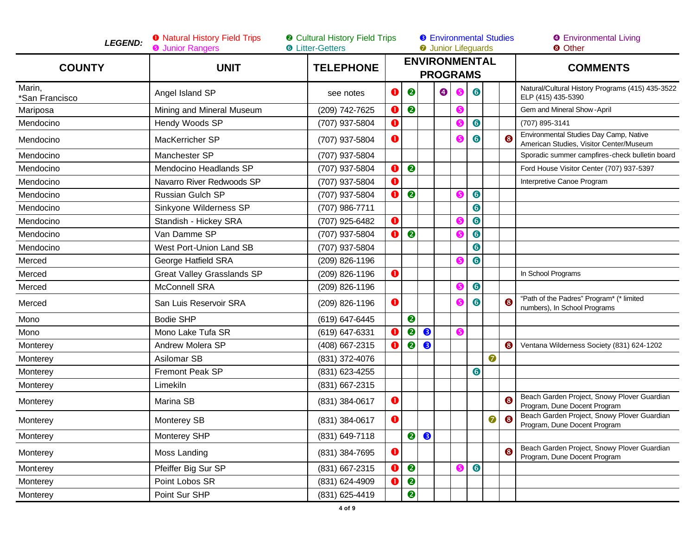| <b>LEGEND:</b>           | <b>O</b> Natural History Field Trips<br><b>O</b> Junior Rangers | <b>@</b> Cultural History Field Trips<br><b>6</b> Litter-Getters |             |                  |           | <b>8</b> Environmental Studies<br><b>O</b> Junior Lifeguards |   |           |   |           | <b>O</b> Environmental Living<br><b>8 Other</b>                                   |  |
|--------------------------|-----------------------------------------------------------------|------------------------------------------------------------------|-------------|------------------|-----------|--------------------------------------------------------------|---|-----------|---|-----------|-----------------------------------------------------------------------------------|--|
| <b>COUNTY</b>            | <b>UNIT</b>                                                     | <b>TELEPHONE</b>                                                 |             |                  |           | <b>ENVIRONMENTAL</b><br><b>PROGRAMS</b>                      |   |           |   |           | <b>COMMENTS</b>                                                                   |  |
| Marin,<br>*San Francisco | Angel Island SP                                                 | see notes                                                        | $\mathbf 0$ | 2                |           | ❹                                                            | 6 | 6         |   |           | Natural/Cultural History Programs (415) 435-3522<br>ELP (415) 435-5390            |  |
| Mariposa                 | Mining and Mineral Museum                                       | (209) 742-7625                                                   | $\bf o$     | $\bullet$        |           |                                                              | 6 |           |   |           | Gem and Mineral Show-April                                                        |  |
| Mendocino                | Hendy Woods SP                                                  | (707) 937-5804                                                   | 0           |                  |           |                                                              |   | 6         |   |           | (707) 895-3141                                                                    |  |
| Mendocino                | MacKerricher SP                                                 | (707) 937-5804                                                   | $\bf o$     |                  |           |                                                              |   | 6         |   |           | Environmental Studies Day Camp, Native<br>American Studies, Visitor Center/Museum |  |
| Mendocino                | Manchester SP                                                   | (707) 937-5804                                                   |             |                  |           |                                                              |   |           |   |           | Sporadic summer campfires-check bulletin board                                    |  |
| Mendocino                | Mendocino Headlands SP                                          | (707) 937-5804                                                   | 0           | 2                |           |                                                              |   |           |   |           | Ford House Visitor Center (707) 937-5397                                          |  |
| Mendocino                | Navarro River Redwoods SP                                       | (707) 937-5804                                                   | $\mathbf 0$ |                  |           |                                                              |   |           |   |           | Interpretive Canoe Program                                                        |  |
| Mendocino                | <b>Russian Gulch SP</b>                                         | (707) 937-5804                                                   | 0           | $\bullet$        |           |                                                              | 6 | $\bullet$ |   |           |                                                                                   |  |
| Mendocino                | Sinkyone Wilderness SP                                          | (707) 986-7711                                                   |             |                  |           |                                                              |   | 6         |   |           |                                                                                   |  |
| Mendocino                | Standish - Hickey SRA                                           | (707) 925-6482                                                   | $\bf 0$     |                  |           |                                                              | G | $\bullet$ |   |           |                                                                                   |  |
| Mendocino                | Van Damme SP                                                    | (707) 937-5804                                                   | $\mathbf 0$ | $\boldsymbol{Q}$ |           |                                                              | G | $\bullet$ |   |           |                                                                                   |  |
| Mendocino                | West Port-Union Land SB                                         | (707) 937-5804                                                   |             |                  |           |                                                              |   | 6         |   |           |                                                                                   |  |
| Merced                   | George Hatfield SRA                                             | (209) 826-1196                                                   |             |                  |           |                                                              |   | $\bullet$ |   |           |                                                                                   |  |
| Merced                   | <b>Great Valley Grasslands SP</b>                               | (209) 826-1196                                                   | $\mathbf 0$ |                  |           |                                                              |   |           |   |           | In School Programs                                                                |  |
| Merced                   | <b>McConnell SRA</b>                                            | (209) 826-1196                                                   |             |                  |           |                                                              | G | $\bullet$ |   |           |                                                                                   |  |
| Merced                   | San Luis Reservoir SRA                                          | (209) 826-1196                                                   | $\mathbf 0$ |                  |           |                                                              | G | 6         |   |           | "Path of the Padres" Program* (* limited<br>numbers), In School Programs          |  |
| Mono                     | <b>Bodie SHP</b>                                                | (619) 647-6445                                                   |             | $\bullet$        |           |                                                              |   |           |   |           |                                                                                   |  |
| Mono                     | Mono Lake Tufa SR                                               | (619) 647-6331                                                   | 0           | 2                | ❸         |                                                              | 6 |           |   |           |                                                                                   |  |
| Monterey                 | Andrew Molera SP                                                | (408) 667-2315                                                   | $\mathbf 0$ | 2                | ❸         |                                                              |   |           |   | ❸         | Ventana Wilderness Society (831) 624-1202                                         |  |
| Monterey                 | Asilomar SB                                                     | (831) 372-4076                                                   |             |                  |           |                                                              |   |           | 0 |           |                                                                                   |  |
| Monterey                 | Fremont Peak SP                                                 | (831) 623-4255                                                   |             |                  |           |                                                              |   | 6         |   |           |                                                                                   |  |
| Monterey                 | Limekiln                                                        | (831) 667-2315                                                   |             |                  |           |                                                              |   |           |   |           |                                                                                   |  |
| Monterey                 | Marina SB                                                       | (831) 384-0617                                                   | $\mathbf 0$ |                  |           |                                                              |   |           |   | ඹ         | Beach Garden Project, Snowy Plover Guardian<br>Program, Dune Docent Program       |  |
| Monterey                 | <b>Monterey SB</b>                                              | (831) 384-0617                                                   | $\bullet$   |                  |           |                                                              |   |           | 0 | $\bullet$ | Beach Garden Project, Snowy Plover Guardian<br>Program, Dune Docent Program       |  |
| Monterey                 | Monterey SHP                                                    | (831) 649-7118                                                   |             | $\bullet$        | $\bullet$ |                                                              |   |           |   |           |                                                                                   |  |
| Monterey                 | Moss Landing                                                    | (831) 384-7695                                                   | $\bullet$   |                  |           |                                                              |   |           |   | 6         | Beach Garden Project, Snowy Plover Guardian<br>Program, Dune Docent Program       |  |
| Monterey                 | Pfeiffer Big Sur SP                                             | (831) 667-2315                                                   | O           | $\bullet$        |           |                                                              | ❺ | 6         |   |           |                                                                                   |  |
| Monterey                 | Point Lobos SR                                                  | (831) 624-4909                                                   | O           | 2                |           |                                                              |   |           |   |           |                                                                                   |  |
| Monterey                 | Point Sur SHP                                                   | (831) 625-4419                                                   |             | $\bullet$        |           |                                                              |   |           |   |           |                                                                                   |  |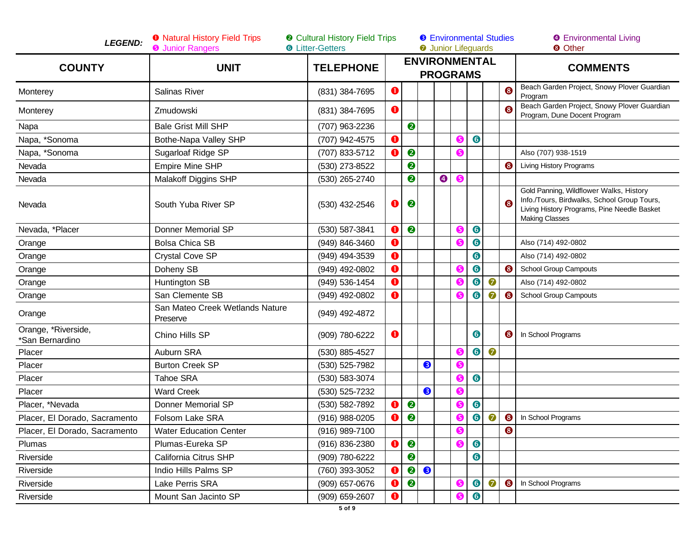| <b>LEGEND:</b>                         | <b>O</b> Natural History Field Trips<br><b>O</b> Junior Rangers | <b>@</b> Cultural History Field Trips<br><b>6</b> Litter-Getters |             |                  |   | <b>8</b> Environmental Studies<br><b>O</b> Junior Lifeguards |           |           |           |           | <b>O</b> Environmental Living<br><b>8 Other</b>                                                                                                                |  |
|----------------------------------------|-----------------------------------------------------------------|------------------------------------------------------------------|-------------|------------------|---|--------------------------------------------------------------|-----------|-----------|-----------|-----------|----------------------------------------------------------------------------------------------------------------------------------------------------------------|--|
| <b>COUNTY</b>                          | <b>UNIT</b>                                                     | <b>TELEPHONE</b>                                                 |             |                  |   | <b>ENVIRONMENTAL</b><br><b>PROGRAMS</b>                      |           |           |           |           | <b>COMMENTS</b>                                                                                                                                                |  |
| Monterey                               | Salinas River                                                   | (831) 384-7695                                                   | $\bullet$   |                  |   |                                                              |           |           |           | ❸         | Beach Garden Project, Snowy Plover Guardian<br>Program                                                                                                         |  |
| Monterey                               | Zmudowski                                                       | (831) 384-7695                                                   | 0           |                  |   |                                                              |           |           |           |           | Beach Garden Project, Snowy Plover Guardian<br>Program, Dune Docent Program                                                                                    |  |
| Napa                                   | <b>Bale Grist Mill SHP</b>                                      | (707) 963-2236                                                   |             | $\boldsymbol{c}$ |   |                                                              |           |           |           |           |                                                                                                                                                                |  |
| Napa, *Sonoma                          | Bothe-Napa Valley SHP                                           | (707) 942-4575                                                   | $\bullet$   |                  |   |                                                              | ❺         | $\bullet$ |           |           |                                                                                                                                                                |  |
| Napa, *Sonoma                          | Sugarloaf Ridge SP                                              | (707) 833-5712                                                   | O           | $\boldsymbol{Q}$ |   |                                                              | ❺         |           |           |           | Also (707) 938-1519                                                                                                                                            |  |
| Nevada                                 | <b>Empire Mine SHP</b>                                          | (530) 273-8522                                                   |             | ❷                |   |                                                              |           |           |           | 6         | Living History Programs                                                                                                                                        |  |
| Nevada                                 | <b>Malakoff Diggins SHP</b>                                     | (530) 265-2740                                                   |             | ❷                |   | $\bullet$                                                    | $\bullet$ |           |           |           |                                                                                                                                                                |  |
| Nevada                                 | South Yuba River SP                                             | (530) 432-2546                                                   | $\bf o$     | ❷                |   |                                                              |           |           |           | 6         | Gold Panning, Wildflower Walks, History<br>Info./Tours, Birdwalks, School Group Tours,<br>Living History Programs, Pine Needle Basket<br><b>Making Classes</b> |  |
| Nevada, *Placer                        | Donner Memorial SP                                              | (530) 587-3841                                                   | 0           | $\bullet$        |   |                                                              | ❺         | $\bullet$ |           |           |                                                                                                                                                                |  |
| Orange                                 | <b>Bolsa Chica SB</b>                                           | (949) 846-3460                                                   | $\mathbf 0$ |                  |   |                                                              | ❺         | $\bullet$ |           |           | Also (714) 492-0802                                                                                                                                            |  |
| Orange                                 | <b>Crystal Cove SP</b>                                          | (949) 494-3539                                                   | $\bullet$   |                  |   |                                                              |           | $\bullet$ |           |           | Also (714) 492-0802                                                                                                                                            |  |
| Orange                                 | Doheny SB                                                       | (949) 492-0802                                                   | 0           |                  |   |                                                              | ❺         | $\bullet$ |           | 6         | <b>School Group Campouts</b>                                                                                                                                   |  |
| Orange                                 | Huntington SB                                                   | (949) 536-1454                                                   | $\bullet$   |                  |   |                                                              | ❺         | $\bullet$ | $\bullet$ |           | Also (714) 492-0802                                                                                                                                            |  |
| Orange                                 | San Clemente SB                                                 | (949) 492-0802                                                   | $\mathbf 0$ |                  |   |                                                              | ❺         | 6         | 6         | 8         | <b>School Group Campouts</b>                                                                                                                                   |  |
| Orange                                 | San Mateo Creek Wetlands Nature<br>Preserve                     | (949) 492-4872                                                   |             |                  |   |                                                              |           |           |           |           |                                                                                                                                                                |  |
| Orange, *Riverside,<br>*San Bernardino | Chino Hills SP                                                  | (909) 780-6222                                                   | $\bullet$   |                  |   |                                                              |           | 6         |           | ❸         | In School Programs                                                                                                                                             |  |
| Placer                                 | Auburn SRA                                                      | (530) 885-4527                                                   |             |                  |   |                                                              | ❺         | $\bullet$ | $\bullet$ |           |                                                                                                                                                                |  |
| Placer                                 | <b>Burton Creek SP</b>                                          | (530) 525-7982                                                   |             |                  | ❸ |                                                              | ❺         |           |           |           |                                                                                                                                                                |  |
| Placer                                 | Tahoe SRA                                                       | (530) 583-3074                                                   |             |                  |   |                                                              | ❺         | $\bullet$ |           |           |                                                                                                                                                                |  |
| Placer                                 | <b>Ward Creek</b>                                               | (530) 525-7232                                                   |             |                  | ❸ |                                                              | ❺         |           |           |           |                                                                                                                                                                |  |
| Placer, *Nevada                        | <b>Donner Memorial SP</b>                                       | (530) 582-7892                                                   | O           | ❷                |   |                                                              | ❺         | $\bullet$ |           |           |                                                                                                                                                                |  |
| Placer, El Dorado, Sacramento          | Folsom Lake SRA                                                 | (916) 988-0205                                                   | O           | $\bullet$        |   |                                                              | ❺         | $\bullet$ | 0         | ❸         | In School Programs                                                                                                                                             |  |
| Placer, El Dorado, Sacramento          | <b>Water Education Center</b>                                   | (916) 989-7100                                                   |             |                  |   |                                                              | $\bullet$ |           |           | $\bullet$ |                                                                                                                                                                |  |
| Plumas                                 | Plumas-Eureka SP                                                | (916) 836-2380                                                   | o           | ❷                |   |                                                              | 6         | 6         |           |           |                                                                                                                                                                |  |
| Riverside                              | California Citrus SHP                                           | (909) 780-6222                                                   |             | ❷                |   |                                                              |           | $\bullet$ |           |           |                                                                                                                                                                |  |
| Riverside                              | Indio Hills Palms SP                                            | (760) 393-3052                                                   | $\mathbf 0$ | ❷                | ❸ |                                                              |           |           |           |           |                                                                                                                                                                |  |
| Riverside                              | Lake Perris SRA                                                 | (909) 657-0676                                                   | $\mathbf 0$ | 2                |   |                                                              | ❺         | $\bullet$ | $\bullet$ | $\bullet$ | In School Programs                                                                                                                                             |  |
| Riverside                              | Mount San Jacinto SP                                            | (909) 659-2607                                                   | $\mathbf o$ |                  |   |                                                              | ❺         | $\bullet$ |           |           |                                                                                                                                                                |  |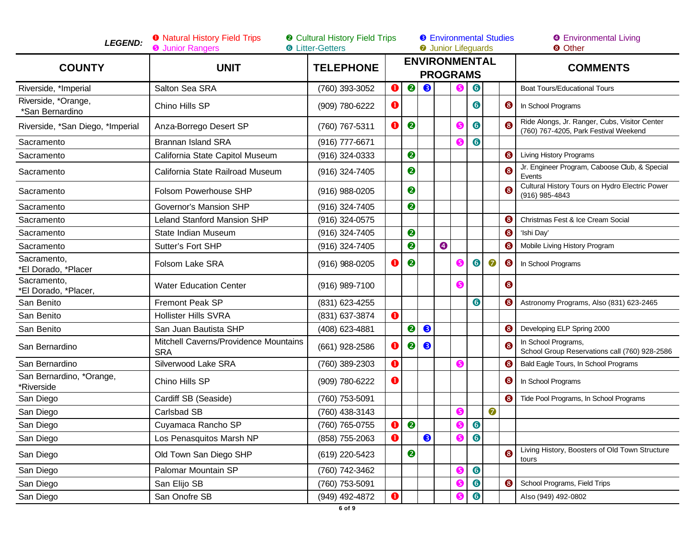| <b>LEGEND:</b>                         | <b>O</b> Natural History Field Trips<br><b>O</b> Junior Rangers | <b>@</b> Cultural History Field Trips<br><b>6</b> Litter-Getters |             |                  |   |                 |    | <b>O</b> Junior Lifeguards |           | <b>8</b> Environmental Studies | <b>9</b> Environmental Living<br><b>8</b> Other                                        |  |
|----------------------------------------|-----------------------------------------------------------------|------------------------------------------------------------------|-------------|------------------|---|-----------------|----|----------------------------|-----------|--------------------------------|----------------------------------------------------------------------------------------|--|
| <b>COUNTY</b>                          | <b>UNIT</b>                                                     | <b>TELEPHONE</b>                                                 |             |                  |   | <b>PROGRAMS</b> |    | <b>ENVIRONMENTAL</b>       |           |                                | <b>COMMENTS</b>                                                                        |  |
| Riverside, *Imperial                   | Salton Sea SRA                                                  | (760) 393-3052                                                   | $\bullet$   | $\bullet$        | ❸ |                 |    | $\bullet$                  |           |                                | <b>Boat Tours/Educational Tours</b>                                                    |  |
| Riverside, *Orange,<br>*San Bernardino | Chino Hills SP                                                  | (909) 780-6222                                                   | O           |                  |   |                 |    | $\bullet$                  |           | ❸                              | In School Programs                                                                     |  |
| Riverside, *San Diego, *Imperial       | Anza-Borrego Desert SP                                          | (760) 767-5311                                                   | $\mathbf o$ | $\bullet$        |   |                 | G  | 6                          |           | ඹ                              | Ride Alongs, Jr. Ranger, Cubs, Visitor Center<br>(760) 767-4205, Park Festival Weekend |  |
| Sacramento                             | <b>Brannan Island SRA</b>                                       | (916) 777-6671                                                   |             |                  |   |                 |    | $\bullet$                  |           |                                |                                                                                        |  |
| Sacramento                             | California State Capitol Museum                                 | (916) 324-0333                                                   |             | ❷                |   |                 |    |                            |           | ❸                              | <b>Living History Programs</b>                                                         |  |
| Sacramento                             | California State Railroad Museum                                | (916) 324-7405                                                   |             | ❷                |   |                 |    |                            |           | 6                              | Jr. Engineer Program, Caboose Club, & Special<br>Events                                |  |
| Sacramento                             | <b>Folsom Powerhouse SHP</b>                                    | $(916)$ 988-0205                                                 |             | ❷                |   |                 |    |                            |           | ദ                              | Cultural History Tours on Hydro Electric Power<br>(916) 985-4843                       |  |
| Sacramento                             | Governor's Mansion SHP                                          | (916) 324-7405                                                   |             | ❷                |   |                 |    |                            |           |                                |                                                                                        |  |
| Sacramento                             | <b>Leland Stanford Mansion SHP</b>                              | (916) 324-0575                                                   |             |                  |   |                 |    |                            |           | 6                              | Christmas Fest & Ice Cream Social                                                      |  |
| Sacramento                             | State Indian Museum                                             | (916) 324-7405                                                   |             | 2                |   |                 |    |                            |           | ❸                              | 'Ishi Day'                                                                             |  |
| Sacramento                             | Sutter's Fort SHP                                               | (916) 324-7405                                                   |             | 0                |   | $\bullet$       |    |                            |           | 6                              | Mobile Living History Program                                                          |  |
| Sacramento,<br>*El Dorado, *Placer     | Folsom Lake SRA                                                 | (916) 988-0205                                                   | O           | $\boldsymbol{e}$ |   |                 |    | $\bullet$                  | $\bullet$ | ❸                              | In School Programs                                                                     |  |
| Sacramento,<br>*El Dorado, *Placer,    | <b>Water Education Center</b>                                   | (916) 989-7100                                                   |             |                  |   |                 | G  |                            |           | ❸                              |                                                                                        |  |
| San Benito                             | Fremont Peak SP                                                 | (831) 623-4255                                                   |             |                  |   |                 |    | $\bullet$                  |           | ❸                              | Astronomy Programs, Also (831) 623-2465                                                |  |
| San Benito                             | <b>Hollister Hills SVRA</b>                                     | (831) 637-3874                                                   | $\bullet$   |                  |   |                 |    |                            |           |                                |                                                                                        |  |
| San Benito                             | San Juan Bautista SHP                                           | (408) 623-4881                                                   |             | $\bullet$        | ❸ |                 |    |                            |           | ❸                              | Developing ELP Spring 2000                                                             |  |
| San Bernardino                         | Mitchell Caverns/Providence Mountains<br><b>SRA</b>             | (661) 928-2586                                                   | $\bullet$   | ❷                | ❸ |                 |    |                            |           | 6                              | In School Programs,<br>School Group Reservations call (760) 928-2586                   |  |
| San Bernardino                         | Silverwood Lake SRA                                             | (760) 389-2303                                                   | $\bullet$   |                  |   |                 | 6  |                            |           | 6                              | Bald Eagle Tours, In School Programs                                                   |  |
| San Bernardino, *Orange,<br>*Riverside | Chino Hills SP                                                  | (909) 780-6222                                                   | $\bullet$   |                  |   |                 |    |                            |           | 6                              | In School Programs                                                                     |  |
| San Diego                              | Cardiff SB (Seaside)                                            | (760) 753-5091                                                   |             |                  |   |                 |    |                            |           | 6                              | Tide Pool Programs, In School Programs                                                 |  |
| San Diego                              | Carlsbad SB                                                     | (760) 438-3143                                                   |             |                  |   |                 | 5  |                            | 0         |                                |                                                                                        |  |
| San Diego                              | Cuyamaca Rancho SP                                              | (760) 765-0755                                                   | $\bullet$   | $\bullet$        |   |                 |    | $\bullet$                  |           |                                |                                                                                        |  |
| San Diego                              | Los Penasquitos Marsh NP                                        | (858) 755-2063                                                   | $\bullet$   |                  | ❸ |                 | 6  | $\bullet$                  |           |                                |                                                                                        |  |
| San Diego                              | Old Town San Diego SHP                                          | (619) 220-5423                                                   |             | ❷                |   |                 |    |                            |           | ❸                              | Living History, Boosters of Old Town Structure<br>tours                                |  |
| San Diego                              | Palomar Mountain SP                                             | (760) 742-3462                                                   |             |                  |   |                 | (5 | $\bullet$                  |           |                                |                                                                                        |  |
| San Diego                              | San Elijo SB                                                    | (760) 753-5091                                                   |             |                  |   |                 |    | $\bullet$                  |           | 6                              | School Programs, Field Trips                                                           |  |
| San Diego                              | San Onofre SB                                                   | (949) 492-4872                                                   | $\bullet$   |                  |   |                 |    | $\bullet$                  |           |                                | Also (949) 492-0802                                                                    |  |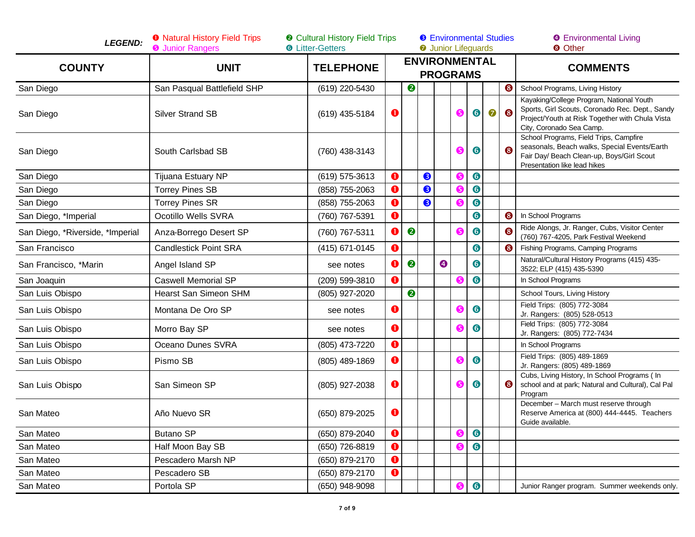| <b>LEGEND:</b>                   | <b>O</b> Natural History Field Trips<br><b>O</b> Junior Rangers | <b>@</b> Cultural History Field Trips<br><b>6</b> Litter-Getters |             |           |   |           | <b>8</b> Environmental Studies<br><b>O</b> Junior Lifeguards |           |           |   | <b>O</b> Environmental Living<br><b>8 Other</b>                                                                                                                            |  |
|----------------------------------|-----------------------------------------------------------------|------------------------------------------------------------------|-------------|-----------|---|-----------|--------------------------------------------------------------|-----------|-----------|---|----------------------------------------------------------------------------------------------------------------------------------------------------------------------------|--|
| <b>COUNTY</b>                    | <b>UNIT</b>                                                     | <b>TELEPHONE</b>                                                 |             |           |   |           | <b>ENVIRONMENTAL</b><br><b>PROGRAMS</b>                      |           |           |   | <b>COMMENTS</b>                                                                                                                                                            |  |
| San Diego                        | San Pasqual Battlefield SHP                                     | (619) 220-5430                                                   |             | ❷         |   |           |                                                              |           |           | ❸ | School Programs, Living History                                                                                                                                            |  |
| San Diego                        | <b>Silver Strand SB</b>                                         | (619) 435-5184                                                   | $\bullet$   |           |   |           | 6                                                            | $\bullet$ | $\bullet$ | ❸ | Kayaking/College Program, National Youth<br>Sports, Girl Scouts, Coronado Rec. Dept., Sandy<br>Project/Youth at Risk Together with Chula Vista<br>City, Coronado Sea Camp. |  |
| San Diego                        | South Carlsbad SB                                               | (760) 438-3143                                                   |             |           |   |           | 6                                                            | 6         |           |   | School Programs, Field Trips, Campfire<br>seasonals, Beach walks, Special Events/Earth<br>Fair Day/ Beach Clean-up, Boys/Girl Scout<br>Presentation like lead hikes        |  |
| San Diego                        | Tijuana Estuary NP                                              | (619) 575-3613                                                   | $\bullet$   |           | ❸ |           |                                                              | $\bullet$ |           |   |                                                                                                                                                                            |  |
| San Diego                        | <b>Torrey Pines SB</b>                                          | (858) 755-2063                                                   | $\bullet$   |           | ❸ |           | G                                                            | $\bullet$ |           |   |                                                                                                                                                                            |  |
| San Diego                        | <b>Torrey Pines SR</b>                                          | (858) 755-2063                                                   | $\mathbf 0$ |           | ❸ |           |                                                              | $\bullet$ |           |   |                                                                                                                                                                            |  |
| San Diego, *Imperial             | Ocotillo Wells SVRA                                             | (760) 767-5391                                                   | $\bullet$   |           |   |           |                                                              | $\bullet$ |           | ❸ | In School Programs                                                                                                                                                         |  |
| San Diego, *Riverside, *Imperial | Anza-Borrego Desert SP                                          | (760) 767-5311                                                   | $\mathbf 0$ | $\bullet$ |   |           | ❺                                                            | $\bullet$ |           | 8 | Ride Alongs, Jr. Ranger, Cubs, Visitor Center<br>(760) 767-4205, Park Festival Weekend                                                                                     |  |
| San Francisco                    | <b>Candlestick Point SRA</b>                                    | (415) 671-0145                                                   | $\bullet$   |           |   |           |                                                              | $\bullet$ |           | 6 | Fishing Programs, Camping Programs                                                                                                                                         |  |
| San Francisco, *Marin            | Angel Island SP                                                 | see notes                                                        | $\bullet$   | 0         |   | $\bullet$ |                                                              | 6         |           |   | Natural/Cultural History Programs (415) 435-<br>3522; ELP (415) 435-5390                                                                                                   |  |
| San Joaquin                      | <b>Caswell Memorial SP</b>                                      | (209) 599-3810                                                   | $\bullet$   |           |   |           |                                                              | 6         |           |   | In School Programs                                                                                                                                                         |  |
| San Luis Obispo                  | Hearst San Simeon SHM                                           | (805) 927-2020                                                   |             | 2         |   |           |                                                              |           |           |   | School Tours, Living History                                                                                                                                               |  |
| San Luis Obispo                  | Montana De Oro SP                                               | see notes                                                        | $\bullet$   |           |   |           | 6                                                            | 6         |           |   | Field Trips: (805) 772-3084<br>Jr. Rangers: (805) 528-0513                                                                                                                 |  |
| San Luis Obispo                  | Morro Bay SP                                                    | see notes                                                        | $\bullet$   |           |   |           | G                                                            | $\bullet$ |           |   | Field Trips: (805) 772-3084<br>Jr. Rangers: (805) 772-7434                                                                                                                 |  |
| San Luis Obispo                  | Oceano Dunes SVRA                                               | (805) 473-7220                                                   | $\bullet$   |           |   |           |                                                              |           |           |   | In School Programs                                                                                                                                                         |  |
| San Luis Obispo                  | Pismo SB                                                        | (805) 489-1869                                                   | $\bullet$   |           |   |           | G                                                            | 6         |           |   | Field Trips: (805) 489-1869<br>Jr. Rangers: (805) 489-1869                                                                                                                 |  |
| San Luis Obispo                  | San Simeon SP                                                   | (805) 927-2038                                                   | $\bullet$   |           |   |           | 6                                                            | 6         |           | ❸ | Cubs, Living History, In School Programs (In<br>school and at park; Natural and Cultural), Cal Pal<br>Program                                                              |  |
| San Mateo                        | Año Nuevo SR                                                    | (650) 879-2025                                                   | $\bullet$   |           |   |           |                                                              |           |           |   | December - March must reserve through<br>Reserve America at (800) 444-4445. Teachers<br>Guide available.                                                                   |  |
| San Mateo                        | <b>Butano SP</b>                                                | (650) 879-2040                                                   | $\bullet$   |           |   |           | 6                                                            | $\bullet$ |           |   |                                                                                                                                                                            |  |
| San Mateo                        | Half Moon Bay SB                                                | (650) 726-8819                                                   | $\bullet$   |           |   |           | 6                                                            | $\bullet$ |           |   |                                                                                                                                                                            |  |
| San Mateo                        | Pescadero Marsh NP                                              | (650) 879-2170                                                   | $\bullet$   |           |   |           |                                                              |           |           |   |                                                                                                                                                                            |  |
| San Mateo                        | Pescadero SB                                                    | (650) 879-2170                                                   | $\bullet$   |           |   |           |                                                              |           |           |   |                                                                                                                                                                            |  |
| San Mateo                        | Portola SP                                                      | (650) 948-9098                                                   |             |           |   |           | 6                                                            | $\bullet$ |           |   | Junior Ranger program. Summer weekends only.                                                                                                                               |  |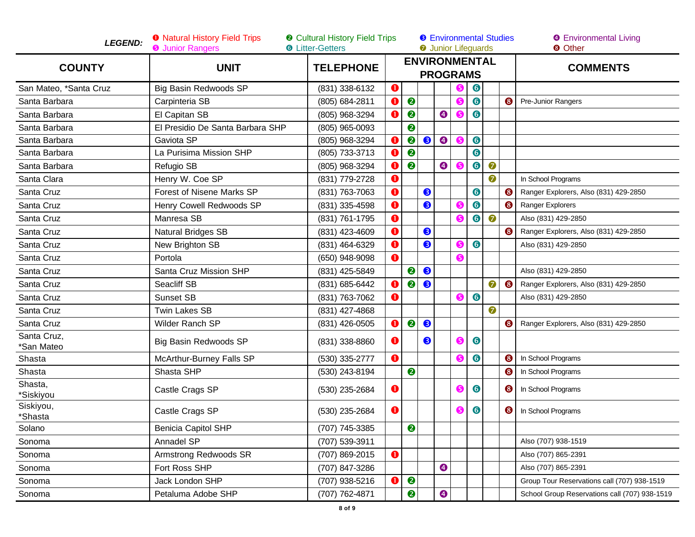| <b>LEGEND:</b>            | <b>O</b> Natural History Field Trips<br><b>@</b> Cultural History Field Trips<br><b>O</b> Junior Rangers<br><b>6</b> Litter-Getters |                  |             |           |           |                                         |     | <b>O</b> Junior Lifeguards |           | <b>8</b> Environmental Studies | <b>9</b> Environmental Living<br><b>8</b> Other |  |
|---------------------------|-------------------------------------------------------------------------------------------------------------------------------------|------------------|-------------|-----------|-----------|-----------------------------------------|-----|----------------------------|-----------|--------------------------------|-------------------------------------------------|--|
| <b>COUNTY</b>             | <b>UNIT</b>                                                                                                                         | <b>TELEPHONE</b> |             |           |           | <b>ENVIRONMENTAL</b><br><b>PROGRAMS</b> |     |                            |           |                                | <b>COMMENTS</b>                                 |  |
| San Mateo, *Santa Cruz    | Big Basin Redwoods SP                                                                                                               | (831) 338-6132   | $\bullet$   |           |           |                                         |     | $\bullet$                  |           |                                |                                                 |  |
| Santa Barbara             | Carpinteria SB                                                                                                                      | (805) 684-2811   | $\mathbf 0$ | 2         |           |                                         |     | $\bullet$                  |           | ❸                              | Pre-Junior Rangers                              |  |
| Santa Barbara             | El Capitan SB                                                                                                                       | (805) 968-3294   | $\mathbf 0$ | 2         |           | $\bullet$                               |     | $\bullet$                  |           |                                |                                                 |  |
| Santa Barbara             | El Presidio De Santa Barbara SHP                                                                                                    | (805) 965-0093   |             | 2         |           |                                         |     |                            |           |                                |                                                 |  |
| Santa Barbara             | Gaviota SP                                                                                                                          | (805) 968-3294   | $\bullet$   | 2         | $\bullet$ | $\bullet$                               |     | $\bullet$                  |           |                                |                                                 |  |
| Santa Barbara             | La Purisima Mission SHP                                                                                                             | (805) 733-3713   | O           | ❷         |           |                                         |     | $\bullet$                  |           |                                |                                                 |  |
| Santa Barbara             | Refugio SB                                                                                                                          | (805) 968-3294   | $\mathbf 0$ | $\bullet$ |           | $\bullet$                               |     | $\bullet$                  | $\bullet$ |                                |                                                 |  |
| Santa Clara               | Henry W. Coe SP                                                                                                                     | (831) 779-2728   | $\mathbf 0$ |           |           |                                         |     |                            | 0         |                                | In School Programs                              |  |
| Santa Cruz                | <b>Forest of Nisene Marks SP</b>                                                                                                    | (831) 763-7063   | $\bf o$     |           | ❸         |                                         |     | $\bullet$                  |           | ❸                              | Ranger Explorers, Also (831) 429-2850           |  |
| Santa Cruz                | Henry Cowell Redwoods SP                                                                                                            | (831) 335-4598   | O           |           | ❸         |                                         |     | $\bullet$                  |           | 6                              | Ranger Explorers                                |  |
| Santa Cruz                | Manresa SB                                                                                                                          | (831) 761-1795   | $\bullet$   |           |           |                                         |     | $\bullet$                  | $\bullet$ |                                | Also (831) 429-2850                             |  |
| Santa Cruz                | Natural Bridges SB                                                                                                                  | (831) 423-4609   | $\bf o$     |           | 8         |                                         |     |                            |           | ❸                              | Ranger Explorers, Also (831) 429-2850           |  |
| Santa Cruz                | New Brighton SB                                                                                                                     | (831) 464-6329   | $\bullet$   |           | ❸         |                                         | G   | $\bullet$                  |           |                                | Also (831) 429-2850                             |  |
| Santa Cruz                | Portola                                                                                                                             | (650) 948-9098   | $\bf o$     |           |           |                                         |     |                            |           |                                |                                                 |  |
| Santa Cruz                | Santa Cruz Mission SHP                                                                                                              | (831) 425-5849   |             | $\bullet$ | ❸         |                                         |     |                            |           |                                | Also (831) 429-2850                             |  |
| Santa Cruz                | Seacliff SB                                                                                                                         | (831) 685-6442   | O           | ❷         | ❸         |                                         |     |                            | 0         | 6                              | Ranger Explorers, Also (831) 429-2850           |  |
| Santa Cruz                | <b>Sunset SB</b>                                                                                                                    | (831) 763-7062   | $\bf o$     |           |           |                                         | 6   | $\bullet$                  |           |                                | Also (831) 429-2850                             |  |
| Santa Cruz                | <b>Twin Lakes SB</b>                                                                                                                | (831) 427-4868   |             |           |           |                                         |     |                            | 0         |                                |                                                 |  |
| Santa Cruz                | Wilder Ranch SP                                                                                                                     | (831) 426-0505   | $\bullet$   | 2         | 8         |                                         |     |                            |           | ❸                              | Ranger Explorers, Also (831) 429-2850           |  |
| Santa Cruz,<br>*San Mateo | Big Basin Redwoods SP                                                                                                               | (831) 338-8860   | $\bullet$   |           | ❸         |                                         | G   | $\bullet$                  |           |                                |                                                 |  |
| Shasta                    | McArthur-Burney Falls SP                                                                                                            | (530) 335-2777   | $\bullet$   |           |           |                                         |     | $\bullet$                  |           | ❸                              | In School Programs                              |  |
| Shasta                    | Shasta SHP                                                                                                                          | (530) 243-8194   |             | 0         |           |                                         |     |                            |           | ❸                              | In School Programs                              |  |
| Shasta,<br>*Siskiyou      | Castle Crags SP                                                                                                                     | (530) 235-2684   | $\bullet$   |           |           |                                         | 6   | $\bullet$                  |           | ❸                              | In School Programs                              |  |
| Siskiyou,<br>*Shasta      | Castle Crags SP                                                                                                                     | (530) 235-2684   | $\bullet$   |           |           |                                         | (5) | $\bullet$                  |           | ❸                              | In School Programs                              |  |
| Solano                    | <b>Benicia Capitol SHP</b>                                                                                                          | (707) 745-3385   |             | ❷         |           |                                         |     |                            |           |                                |                                                 |  |
| Sonoma                    | Annadel SP                                                                                                                          | (707) 539-3911   |             |           |           |                                         |     |                            |           |                                | Also (707) 938-1519                             |  |
| Sonoma                    | Armstrong Redwoods SR                                                                                                               | (707) 869-2015   | $\bullet$   |           |           |                                         |     |                            |           |                                | Also (707) 865-2391                             |  |
| Sonoma                    | Fort Ross SHP                                                                                                                       | (707) 847-3286   |             |           |           | ❹                                       |     |                            |           |                                | Also (707) 865-2391                             |  |
| Sonoma                    | Jack London SHP                                                                                                                     | (707) 938-5216   | O           | $\bullet$ |           |                                         |     |                            |           |                                | Group Tour Reservations call (707) 938-1519     |  |
| Sonoma                    | Petaluma Adobe SHP                                                                                                                  | (707) 762-4871   |             | 2         |           | ❹                                       |     |                            |           |                                | School Group Reservations call (707) 938-1519   |  |